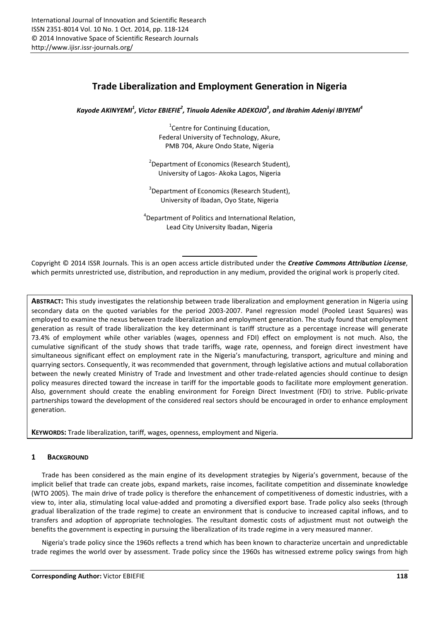# **Trade Liberalization and Employment Generation in Nigeria**

*Kayode AKINYEMI<sup>1</sup> , Victor EBIEFIE<sup>2</sup> , Tinuola Adenike ADEKOJO<sup>3</sup> , and Ibrahim Adeniyi IBIYEMI<sup>4</sup>*

<sup>1</sup> Centre for Continuing Education, Federal University of Technology, Akure, PMB 704, Akure Ondo State, Nigeria

<sup>2</sup>Department of Economics (Research Student), University of Lagos- Akoka Lagos, Nigeria

<sup>3</sup>Department of Economics (Research Student), University of Ibadan, Oyo State, Nigeria

<sup>4</sup>Department of Politics and International Relation, Lead City University Ibadan, Nigeria

Copyright © 2014 ISSR Journals. This is an open access article distributed under the *Creative Commons Attribution License*, which permits unrestricted use, distribution, and reproduction in any medium, provided the original work is properly cited.

**ABSTRACT:** This study investigates the relationship between trade liberalization and employment generation in Nigeria using secondary data on the quoted variables for the period 2003-2007. Panel regression model (Pooled Least Squares) was employed to examine the nexus between trade liberalization and employment generation. The study found that employment generation as result of trade liberalization the key determinant is tariff structure as a percentage increase will generate 73.4% of employment while other variables (wages, openness and FDI) effect on employment is not much. Also, the cumulative significant of the study shows that trade tariffs, wage rate, openness, and foreign direct investment have simultaneous significant effect on employment rate in the Nigeria's manufacturing, transport, agriculture and mining and quarrying sectors. Consequently, it was recommended that government, through legislative actions and mutual collaboration between the newly created Ministry of Trade and Investment and other trade-related agencies should continue to design policy measures directed toward the increase in tariff for the importable goods to facilitate more employment generation. Also, government should create the enabling environment for Foreign Direct Investment (FDI) to strive. Public-private partnerships toward the development of the considered real sectors should be encouraged in order to enhance employment generation.

**KEYWORDS:** Trade liberalization, tariff, wages, openness, employment and Nigeria.

# **1 BACKGROUND**

Trade has been considered as the main engine of its development strategies by Nigeria's government, because of the implicit belief that trade can create jobs, expand markets, raise incomes, facilitate competition and disseminate knowledge (WTO 2005). The main drive of trade policy is therefore the enhancement of competitiveness of domestic industries, with a view to, inter alia, stimulating local value-added and promoting a diversified export base. Trade policy also seeks (through gradual liberalization of the trade regime) to create an environment that is conducive to increased capital inflows, and to transfers and adoption of appropriate technologies. The resultant domestic costs of adjustment must not outweigh the benefits the government is expecting in pursuing the liberalization of its trade regime in a very measured manner.

Nigeria's trade policy since the 1960s reflects a trend which has been known to characterize uncertain and unpredictable trade regimes the world over by assessment. Trade policy since the 1960s has witnessed extreme policy swings from high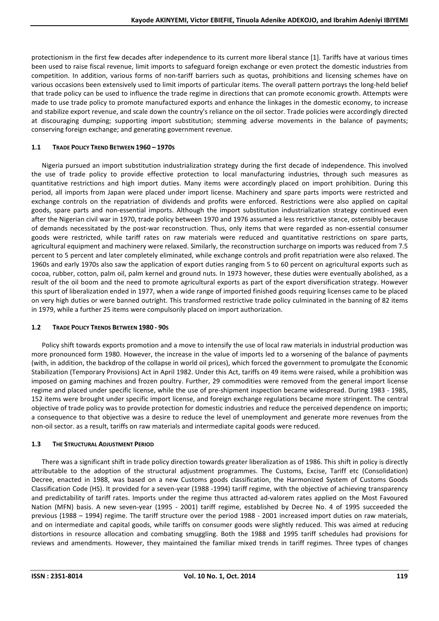protectionism in the first few decades after independence to its current more liberal stance [1]. Tariffs have at various times been used to raise fiscal revenue, limit imports to safeguard foreign exchange or even protect the domestic industries from competition. In addition, various forms of non-tariff barriers such as quotas, prohibitions and licensing schemes have on various occasions been extensively used to limit imports of particular items. The overall pattern portrays the long-held belief that trade policy can be used to influence the trade regime in directions that can promote economic growth. Attempts were made to use trade policy to promote manufactured exports and enhance the linkages in the domestic economy, to increase and stabilize export revenue, and scale down the country's reliance on the oil sector. Trade policies were accordingly directed at discouraging dumping; supporting import substitution; stemming adverse movements in the balance of payments; conserving foreign exchange; and generating government revenue.

# **1.1 TRADE POLICY TREND BETWEEN 1960 – 1970S**

Nigeria pursued an import substitution industrialization strategy during the first decade of independence. This involved the use of trade policy to provide effective protection to local manufacturing industries, through such measures as quantitative restrictions and high import duties. Many items were accordingly placed on import prohibition. During this period, all imports from Japan were placed under import license. Machinery and spare parts imports were restricted and exchange controls on the repatriation of dividends and profits were enforced. Restrictions were also applied on capital goods, spare parts and non-essential imports. Although the import substitution industrialization strategy continued even after the Nigerian civil war in 1970, trade policy between 1970 and 1976 assumed a less restrictive stance, ostensibly because of demands necessitated by the post-war reconstruction. Thus, only items that were regarded as non-essential consumer goods were restricted, while tariff rates on raw materials were reduced and quantitative restrictions on spare parts, agricultural equipment and machinery were relaxed. Similarly, the reconstruction surcharge on imports was reduced from 7.5 percent to 5 percent and later completely eliminated, while exchange controls and profit repatriation were also relaxed. The 1960s and early 1970s also saw the application of export duties ranging from 5 to 60 percent on agricultural exports such as cocoa, rubber, cotton, palm oil, palm kernel and ground nuts. In 1973 however, these duties were eventually abolished, as a result of the oil boom and the need to promote agricultural exports as part of the export diversification strategy. However this spurt of liberalization ended in 1977, when a wide range of imported finished goods requiring licenses came to be placed on very high duties or were banned outright. This transformed restrictive trade policy culminated in the banning of 82 items in 1979, while a further 25 items were compulsorily placed on import authorization.

# **1.2 TRADE POLICY TRENDS BETWEEN 1980 - 90S**

Policy shift towards exports promotion and a move to intensify the use of local raw materials in industrial production was more pronounced form 1980. However, the increase in the value of imports led to a worsening of the balance of payments (with, in addition, the backdrop of the collapse in world oil prices), which forced the government to promulgate the Economic Stabilization (Temporary Provisions) Act in April 1982. Under this Act, tariffs on 49 items were raised, while a prohibition was imposed on gaming machines and frozen poultry. Further, 29 commodities were removed from the general import license regime and placed under specific license, while the use of pre-shipment inspection became widespread. During 1983 - 1985, 152 items were brought under specific import license, and foreign exchange regulations became more stringent. The central objective of trade policy was to provide protection for domestic industries and reduce the perceived dependence on imports; a consequence to that objective was a desire to reduce the level of unemployment and generate more revenues from the non-oil sector. as a result, tariffs on raw materials and intermediate capital goods were reduced.

# **1.3 THE STRUCTURAL ADJUSTMENT PERIOD**

There was a significant shift in trade policy direction towards greater liberalization as of 1986. This shift in policy is directly attributable to the adoption of the structural adjustment programmes. The Customs, Excise, Tariff etc (Consolidation) Decree, enacted in 1988, was based on a new Customs goods classification, the Harmonized System of Customs Goods Classification Code (HS). It provided for a seven-year (1988 -1994) tariff regime, with the objective of achieving transparency and predictability of tariff rates. Imports under the regime thus attracted ad-valorem rates applied on the Most Favoured Nation (MFN) basis. A new seven-year (1995 - 2001) tariff regime, established by Decree No. 4 of 1995 succeeded the previous (1988 – 1994) regime. The tariff structure over the period 1988 - 2001 increased import duties on raw materials, and on intermediate and capital goods, while tariffs on consumer goods were slightly reduced. This was aimed at reducing distortions in resource allocation and combating smuggling. Both the 1988 and 1995 tariff schedules had provisions for reviews and amendments. However, they maintained the familiar mixed trends in tariff regimes. Three types of changes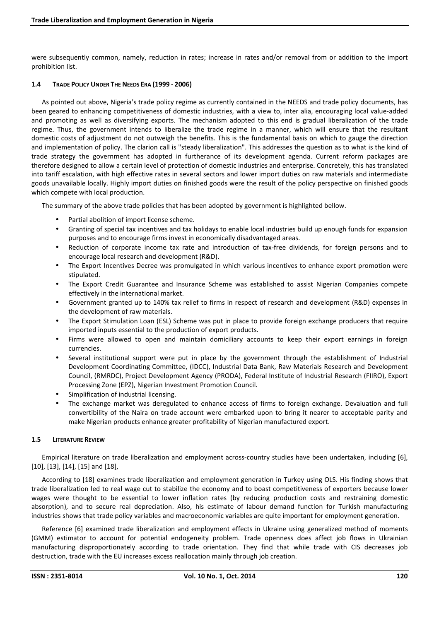were subsequently common, namely, reduction in rates; increase in rates and/or removal from or addition to the import prohibition list.

#### **1.4 TRADE POLICY UNDER THE NEEDS ERA (1999 - 2006)**

As pointed out above, Nigeria's trade policy regime as currently contained in the NEEDS and trade policy documents, has been geared to enhancing competitiveness of domestic industries, with a view to, inter alia, encouraging local value-added and promoting as well as diversifying exports. The mechanism adopted to this end is gradual liberalization of the trade regime. Thus, the government intends to liberalize the trade regime in a manner, which will ensure that the resultant domestic costs of adjustment do not outweigh the benefits. This is the fundamental basis on which to gauge the direction and implementation of policy. The clarion call is "steady liberalization". This addresses the question as to what is the kind of trade strategy the government has adopted in furtherance of its development agenda. Current reform packages are therefore designed to allow a certain level of protection of domestic industries and enterprise. Concretely, this has translated into tariff escalation, with high effective rates in several sectors and lower import duties on raw materials and intermediate goods unavailable locally. Highly import duties on finished goods were the result of the policy perspective on finished goods which compete with local production.

The summary of the above trade policies that has been adopted by government is highlighted bellow.

- Partial abolition of import license scheme.
- Granting of special tax incentives and tax holidays to enable local industries build up enough funds for expansion purposes and to encourage firms invest in economically disadvantaged areas.
- Reduction of corporate income tax rate and introduction of tax-free dividends, for foreign persons and to encourage local research and development (R&D).
- The Export Incentives Decree was promulgated in which various incentives to enhance export promotion were stipulated.
- The Export Credit Guarantee and Insurance Scheme was established to assist Nigerian Companies compete effectively in the international market.
- Government granted up to 140% tax relief to firms in respect of research and development (R&D) expenses in the development of raw materials.
- The Export Stimulation Loan (ESL) Scheme was put in place to provide foreign exchange producers that require imported inputs essential to the production of export products.
- Firms were allowed to open and maintain domiciliary accounts to keep their export earnings in foreign currencies.
- Several institutional support were put in place by the government through the establishment of Industrial Development Coordinating Committee, (IDCC), Industrial Data Bank, Raw Materials Research and Development Council, (RMRDC), Project Development Agency (PRODA), Federal Institute of Industrial Research (FIIRO), Export Processing Zone (EPZ), Nigerian Investment Promotion Council.
- Simplification of industrial licensing.
- The exchange market was deregulated to enhance access of firms to foreign exchange. Devaluation and full convertibility of the Naira on trade account were embarked upon to bring it nearer to acceptable parity and make Nigerian products enhance greater profitability of Nigerian manufactured export.

### **1.5 LITERATURE REVIEW**

Empirical literature on trade liberalization and employment across-country studies have been undertaken, including [6], [10], [13], [14], [15] and [18],

According to [18] examines trade liberalization and employment generation in Turkey using OLS. His finding shows that trade liberalization led to real wage cut to stabilize the economy and to boast competitiveness of exporters because lower wages were thought to be essential to lower inflation rates (by reducing production costs and restraining domestic absorption), and to secure real depreciation. Also, his estimate of labour demand function for Turkish manufacturing industries shows that trade policy variables and macroeconomic variables are quite important for employment generation.

Reference [6] examined trade liberalization and employment effects in Ukraine using generalized method of moments (GMM) estimator to account for potential endogeneity problem. Trade openness does affect job flows in Ukrainian manufacturing disproportionately according to trade orientation. They find that while trade with CIS decreases job destruction, trade with the EU increases excess reallocation mainly through job creation.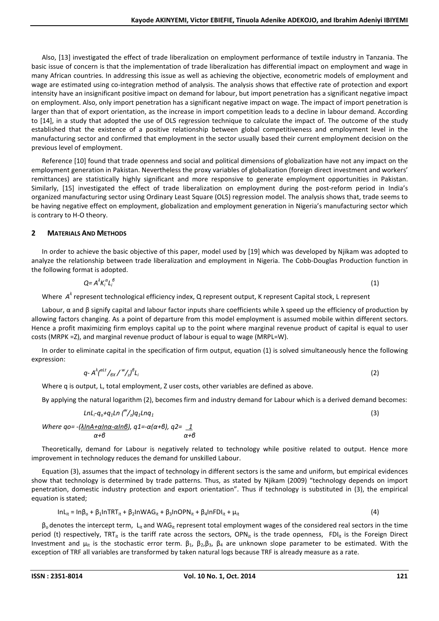Also, [13] investigated the effect of trade liberalization on employment performance of textile industry in Tanzania. The basic issue of concern is that the implementation of trade liberalization has differential impact on employment and wage in many African countries. In addressing this issue as well as achieving the objective, econometric models of employment and wage are estimated using co-integration method of analysis. The analysis shows that effective rate of protection and export intensity have an insignificant positive impact on demand for labour, but import penetration has a significant negative impact on employment. Also, only import penetration has a significant negative impact on wage. The impact of import penetration is larger than that of export orientation, as the increase in import competition leads to a decline in labour demand. According to [14], in a study that adopted the use of OLS regression technique to calculate the impact of. The outcome of the study established that the existence of a positive relationship between global competitiveness and employment level in the manufacturing sector and confirmed that employment in the sector usually based their current employment decision on the previous level of employment.

Reference [10] found that trade openness and social and political dimensions of globalization have not any impact on the employment generation in Pakistan. Nevertheless the proxy variables of globalization (foreign direct investment and workers' remittances) are statistically highly significant and more responsive to generate employment opportunities in Pakistan. Similarly, [15] investigated the effect of trade liberalization on employment during the post-reform period in India's organized manufacturing sector using Ordinary Least Square (OLS) regression model. The analysis shows that, trade seems to be having negative effect on employment, globalization and employment generation in Nigeria's manufacturing sector which is contrary to H-O theory.

## **2 MATERIALS AND METHODS**

In order to achieve the basic objective of this paper, model used by [19] which was developed by Njikam was adopted to analyze the relationship between trade liberalization and employment in Nigeria. The Cobb-Douglas Production function in the following format is adopted.

$$
Q = A^{\lambda} K_i^{\alpha} L_i^{\beta} \tag{1}
$$

Where A<sup>λ</sup> represent technological efficiency index, Q represent output, K represent Capital stock, L represent

Labour, α and β signify capital and labour factor inputs share coefficients while λ speed up the efficiency of production by allowing factors changing. As a point of departure from this model employment is assumed mobile within different sectors. Hence a profit maximizing firm employs capital up to the point where marginal revenue product of capital is equal to user costs (MRPK =Z), and marginal revenue product of labour is equal to wage (MRPL=W).

In order to eliminate capital in the specification of firm output, equation (1) is solved simultaneously hence the following expression:

$$
q - A^{\lambda} \left( \frac{\partial \mathcal{L}^{\mu}}{\partial x} / \frac{w}{z} \right) \mathcal{L}_{i} \tag{2}
$$

Where q is output, L, total employment, Z user costs, other variables are defined as above.

By applying the natural logarithm (2), becomes firm and industry demand for Labour which is a derived demand becomes:

$$
LnL_{i}q_{o}+q_{1}Ln\binom{w}{2}q_{1}Lnq_{1}
$$
\n(3)

\nWhere qo = -({ $\frac{\lambda lnA + \alpha ln\alpha \cdot \alpha ln\beta$ )}{\alpha + \beta}

, q1=-\alpha(\alpha+\beta), q2 = 1  
  $\alpha+\beta$ 

Theoretically, demand for Labour is negatively related to technology while positive related to output. Hence more improvement in technology reduces the demand for unskilled Labour.

Equation (3), assumes that the impact of technology in different sectors is the same and uniform, but empirical evidences show that technology is determined by trade patterns. Thus, as stated by Njikam (2009) "technology depends on import penetration, domestic industry protection and export orientation". Thus if technology is substituted in (3), the empirical equation is stated;

$$
InL_{it} = In\beta_0 + \beta_1 InTRT_{it} + \beta_2 InWAG_{it} + \beta_3 InOPN_{it} + \beta_4 InFDI_{it} + \mu_{it}
$$
\n(4)

 $\beta_0$  denotes the intercept term, L<sub>it</sub> and WAG<sub>it</sub> represent total employment wages of the considered real sectors in the time period (t) respectively, TRT<sub>it</sub> is the tariff rate across the sectors, OPN<sub>it</sub> is the trade openness, FDI<sub>it</sub> is the Foreign Direct Investment and μ<sub>it</sub> is the stochastic error term.  $β_1$ ,  $β_2$ , $β_3$ ,  $β_4$  are unknown slope parameter to be estimated. With the exception of TRF all variables are transformed by taken natural logs because TRF is already measure as a rate.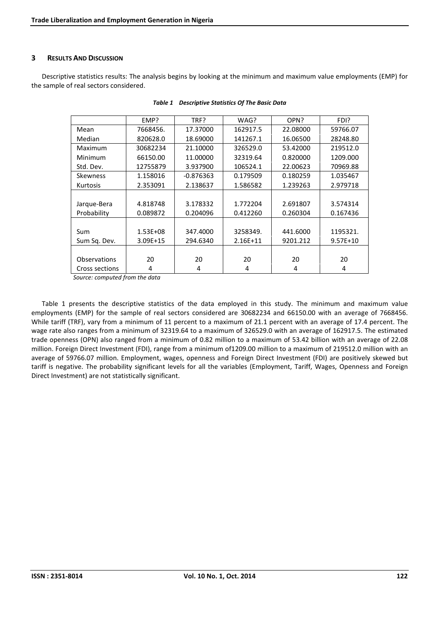## **3 RESULTS AND DISCUSSION**

Descriptive statistics results: The analysis begins by looking at the minimum and maximum value employments (EMP) for the sample of real sectors considered.

|                 | EMP?         | TRF?        | WAG?       | OPN?     | FDI?       |
|-----------------|--------------|-------------|------------|----------|------------|
| Mean            | 7668456.     | 17.37000    | 162917.5   | 22.08000 | 59766.07   |
| Median          | 820628.0     | 18.69000    | 141267.1   | 16.06500 | 28248.80   |
| Maximum         | 30682234     | 21.10000    | 326529.0   | 53.42000 | 219512.0   |
| Minimum         | 66150.00     | 11.00000    | 32319.64   | 0.820000 | 1209.000   |
| Std. Dev.       | 12755879     | 3.937900    | 106524.1   | 22.00623 | 70969.88   |
| <b>Skewness</b> | 1.158016     | $-0.876363$ | 0.179509   | 0.180259 | 1.035467   |
| Kurtosis        | 2.353091     | 2.138637    | 1.586582   | 1.239263 | 2.979718   |
|                 |              |             |            |          |            |
| Jarque-Bera     | 4.818748     | 3.178332    | 1.772204   | 2.691807 | 3.574314   |
| Probability     | 0.089872     | 0.204096    | 0.412260   | 0.260304 | 0.167436   |
|                 |              |             |            |          |            |
| Sum             | $1.53E + 08$ | 347.4000    | 3258349.   | 441.6000 | 1195321.   |
| Sum Sq. Dev.    | $3.09E + 15$ | 294.6340    | $2.16E+11$ | 9201.212 | $9.57E+10$ |
|                 |              |             |            |          |            |
| Observations    | 20           | 20          | 20         | 20       | 20         |
| Cross sections  | 4            | 4           | 4          | 4        | 4          |

| Table 1 Descriptive Statistics Of The Basic Data |  |  |
|--------------------------------------------------|--|--|
|                                                  |  |  |

*Source: computed from the data* 

Table 1 presents the descriptive statistics of the data employed in this study. The minimum and maximum value employments (EMP) for the sample of real sectors considered are 30682234 and 66150.00 with an average of 7668456. While tariff (TRF), vary from a minimum of 11 percent to a maximum of 21.1 percent with an average of 17.4 percent. The wage rate also ranges from a minimum of 32319.64 to a maximum of 326529.0 with an average of 162917.5. The estimated trade openness (OPN) also ranged from a minimum of 0.82 million to a maximum of 53.42 billion with an average of 22.08 million. Foreign Direct Investment (FDI), range from a minimum of1209.00 million to a maximum of 219512.0 million with an average of 59766.07 million. Employment, wages, openness and Foreign Direct Investment (FDI) are positively skewed but tariff is negative. The probability significant levels for all the variables (Employment, Tariff, Wages, Openness and Foreign Direct Investment) are not statistically significant.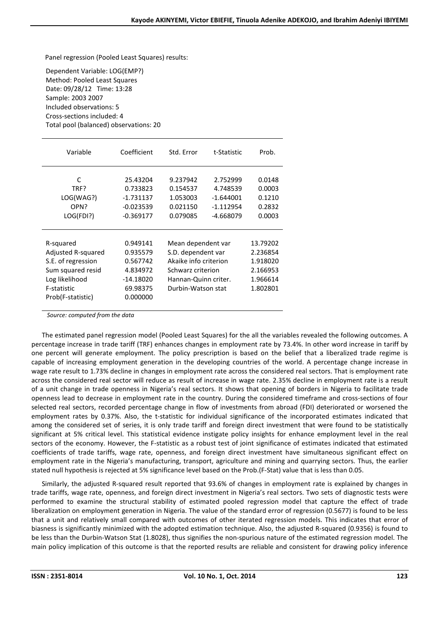Panel regression (Pooled Least Squares) results:

Dependent Variable: LOG(EMP?) Method: Pooled Least Squares Date: 09/28/12 Time: 13:28 Sample: 2003 2007 Included observations: 5 Cross-sections included: 4 Total pool (balanced) observations: 20

| Variable                                                                                                                                                                                                                | Coefficient                                                       | Std. Error                                                                                                                           | t-Statistic                                                       | Prob.                                                                |
|-------------------------------------------------------------------------------------------------------------------------------------------------------------------------------------------------------------------------|-------------------------------------------------------------------|--------------------------------------------------------------------------------------------------------------------------------------|-------------------------------------------------------------------|----------------------------------------------------------------------|
| $\mathsf{C}$<br>TRF?<br>LOG(WAG?)<br>OPN?<br>LOG(FDI?)                                                                                                                                                                  | 25.43204<br>0.733823<br>$-1.731137$<br>$-0.023539$<br>$-0.369177$ | 9.237942<br>0.154537<br>1.053003<br>0.021150<br>0.079085                                                                             | 2.752999<br>4.748539<br>$-1.644001$<br>$-1.112954$<br>$-4.668079$ | 0.0148<br>0.0003<br>0.1210<br>0.2832<br>0.0003                       |
| R-squared<br>0.949141<br>Adjusted R-squared<br>0.935579<br>S.E. of regression<br>0.567742<br>Sum squared resid<br>4.834972<br>Log likelihood<br>$-14.18020$<br>F-statistic<br>69.98375<br>Prob(F-statistic)<br>0.000000 |                                                                   | Mean dependent var<br>S.D. dependent var<br>Akaike info criterion<br>Schwarz criterion<br>Hannan-Quinn criter.<br>Durbin-Watson stat |                                                                   | 13.79202<br>2.236854<br>1.918020<br>2.166953<br>1.966614<br>1.802801 |

*Source: computed from the data* 

The estimated panel regression model (Pooled Least Squares) for the all the variables revealed the following outcomes. A percentage increase in trade tariff (TRF) enhances changes in employment rate by 73.4%. In other word increase in tariff by one percent will generate employment. The policy prescription is based on the belief that a liberalized trade regime is capable of increasing employment generation in the developing countries of the world. A percentage change increase in wage rate result to 1.73% decline in changes in employment rate across the considered real sectors. That is employment rate across the considered real sector will reduce as result of increase in wage rate. 2.35% decline in employment rate is a result of a unit change in trade openness in Nigeria's real sectors. It shows that opening of borders in Nigeria to facilitate trade openness lead to decrease in employment rate in the country. During the considered timeframe and cross-sections of four selected real sectors, recorded percentage change in flow of investments from abroad (FDI) deteriorated or worsened the employment rates by 0.37%. Also, the t-statistic for individual significance of the incorporated estimates indicated that among the considered set of series, it is only trade tariff and foreign direct investment that were found to be statistically significant at 5% critical level. This statistical evidence instigate policy insights for enhance employment level in the real sectors of the economy. However, the F-statistic as a robust test of joint significance of estimates indicated that estimated coefficients of trade tariffs, wage rate, openness, and foreign direct investment have simultaneous significant effect on employment rate in the Nigeria's manufacturing, transport, agriculture and mining and quarrying sectors. Thus, the earlier stated null hypothesis is rejected at 5% significance level based on the Prob.(F-Stat) value that is less than 0.05.

Similarly, the adjusted R-squared result reported that 93.6% of changes in employment rate is explained by changes in trade tariffs, wage rate, openness, and foreign direct investment in Nigeria's real sectors. Two sets of diagnostic tests were performed to examine the structural stability of estimated pooled regression model that capture the effect of trade liberalization on employment generation in Nigeria. The value of the standard error of regression (0.5677) is found to be less that a unit and relatively small compared with outcomes of other iterated regression models. This indicates that error of biasness is significantly minimized with the adopted estimation technique. Also, the adjusted R-squared (0.9356) is found to be less than the Durbin-Watson Stat (1.8028), thus signifies the non-spurious nature of the estimated regression model. The main policy implication of this outcome is that the reported results are reliable and consistent for drawing policy inference